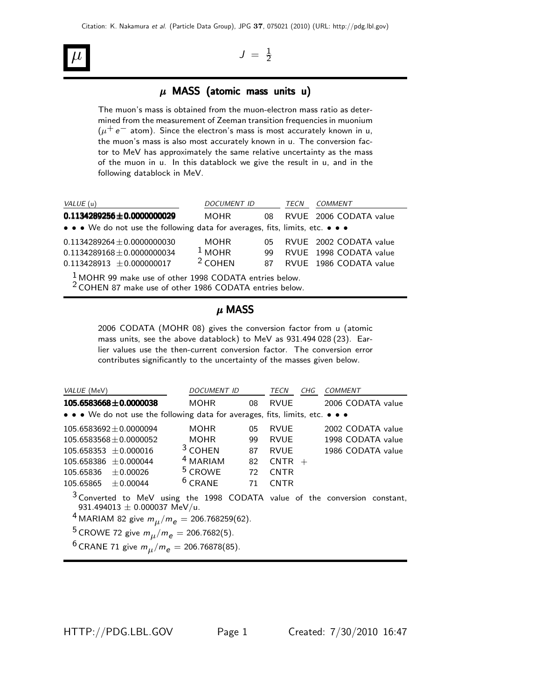# $\mu$   $J = \frac{1}{2}$

## $\mu$  MASS (atomic mass units u)

The muon's mass is obtained from the muon-electron mass ratio as determined from the measurement of Zeeman transition frequencies in muonium  $(\mu^+ e^-$  atom). Since the electron's mass is most accurately known in u, the muon's mass is also most accurately known in u. The conversion factor to MeV has approximately the same relative uncertainty as the mass of the muon in u. In this datablock we give the result in u, and in the following datablock in MeV.

| VALUE (u)                                                                     | <b>DOCUMENT ID</b> |     | TECN | <i>COMMENT</i>         |
|-------------------------------------------------------------------------------|--------------------|-----|------|------------------------|
| $0.1134289256 \pm 0.0000000029$                                               | MOHR               | 08  |      | RVUE 2006 CODATA value |
| • • • We do not use the following data for averages, fits, limits, etc. • • • |                    |     |      |                        |
| $0.1134289264 + 0.0000000030$                                                 | <b>MOHR</b>        | በ5  |      | RVUE 2002 CODATA value |
| $0.1134289168 \pm 0.0000000034$                                               | $1$ MOHR           | 99. |      | RVUE 1998 CODATA value |
| $0.113428913 \pm 0.000000017$                                                 | $2$ COHEN          | 87. |      | RVUE 1986 CODATA value |
| $\frac{1}{6}$ MOHR 99 make use of other 1998 CODATA entries below.            |                    |     |      |                        |

<sup>2</sup> COHEN 87 make use of other 1986 CODATA entries below.

### $\mu$  MASS

2006 CODATA (MOHR 08) gives the conversion factor from u (atomic mass units, see the above datablock) to MeV as 931.494 028 (23). Earlier values use the then-current conversion factor. The conversion error contributes significantly to the uncertainty of the masses given below.

| VALUE (MeV)                                                                   | <b>DOCUMENT ID</b>                                                                    |     | <b>TECN</b> | CHG | COMMENT           |  |
|-------------------------------------------------------------------------------|---------------------------------------------------------------------------------------|-----|-------------|-----|-------------------|--|
| $105.6583668 \pm 0.0000038$                                                   | <b>MOHR</b>                                                                           | 08  | <b>RVUE</b> |     | 2006 CODATA value |  |
| • • • We do not use the following data for averages, fits, limits, etc. • • • |                                                                                       |     |             |     |                   |  |
| $105.6583692 \pm 0.0000094$                                                   | <b>MOHR</b>                                                                           | 05  | <b>RVUE</b> |     | 2002 CODATA value |  |
| $105.6583568 \pm 0.0000052$                                                   | <b>MOHR</b>                                                                           | 99  | <b>RVUE</b> |     | 1998 CODATA value |  |
| $105.658353 \pm 0.000016$                                                     | $3$ COHEN                                                                             | 87  | <b>RVUE</b> |     | 1986 CODATA value |  |
| $105.658386 \pm 0.000044$                                                     | <sup>4</sup> MARIAM                                                                   | 82  | $CNTR +$    |     |                   |  |
| ± 0.00026<br>105.65836                                                        | <sup>5</sup> CROWE                                                                    | 72. | <b>CNTR</b> |     |                   |  |
| $+0.00044$<br>105.65865                                                       | $6$ CRANE                                                                             | 71  | <b>CNTR</b> |     |                   |  |
|                                                                               | $\frac{3}{2}$ Converted to MeV using the 1008 CODATA value of the conversion constant |     |             |     |                   |  |

Converted to MeV using the 1998 CODATA value of the conversion constant, 931.494013  $\pm$  0.000037 MeV/u.

 $4$  MARIAM 82 give  $m_{\mu}/m_{e} = 206.768259(62)$ .

$$
{}^{5}CROWE 72 \text{ give } m_{\mu}/m_{e} = 206.7682(5).
$$
  

$$
{}^{6}CPOATE 71 \text{ gives } m_{\mu}/m_{e} = 206.76878(95).
$$

 $^{6}$  CRANE 71 give  $m_{\mu}/m_{e} = 206.76878(85)$ .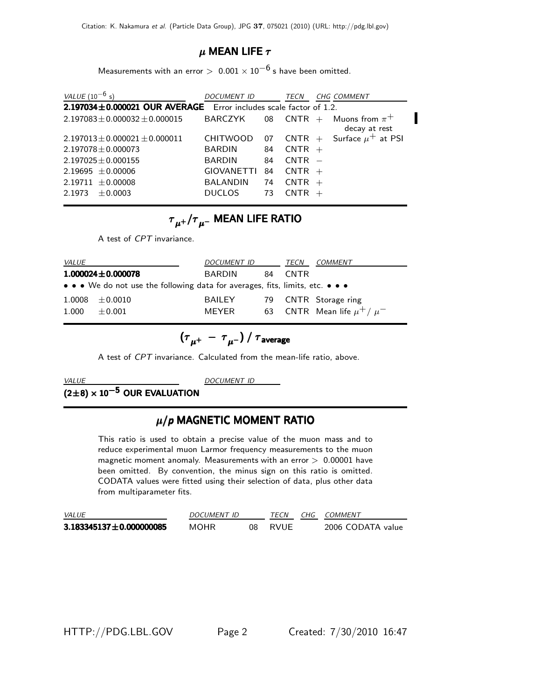### $\mu$  MEAN LIFE  $\tau$

Measurements with an error >  $0.001 \times 10^{-6}$  s have been omitted.

| <i>VALUE</i> (10 <sup>-6</sup> s)                                 | <b>DOCUMENT ID</b> |    | TECN     | <b>CHG COMMENT</b>                                                         |  |
|-------------------------------------------------------------------|--------------------|----|----------|----------------------------------------------------------------------------|--|
| 2.197034±0.000021 OUR AVERAGE Error includes scale factor of 1.2. |                    |    |          |                                                                            |  |
| $2.197083 \pm 0.000032 \pm 0.000015$                              | BARCZYK            |    |          | 08 CNTR + Muons from $\pi^+$<br>decay at rest                              |  |
| $2.197013 \pm 0.000021 \pm 0.000011$                              | <b>CHITWOOD</b>    | 07 |          | $\mathsf{CNTR} \ + \ \mathsf{Surface}\ \mu^+ \ \mathsf{at} \ \mathsf{PSI}$ |  |
| $2.197078 \pm 0.000073$                                           | <b>BARDIN</b>      | 84 | $CNTR +$ |                                                                            |  |
| $2.197025 \pm 0.000155$                                           | <b>BARDIN</b>      | 84 | $CNTR -$ |                                                                            |  |
| $2.19695 \pm 0.00006$                                             | <b>GIOVANETTI</b>  | 84 | $CNTR +$ |                                                                            |  |
| $2.19711 \pm 0.00008$                                             | BALANDIN           | 74 | $CNTR +$ |                                                                            |  |
| $+0.0003$<br>2.1973                                               | <b>DUCLOS</b>      | 73 | $CNTR +$ |                                                                            |  |

# ${{\tau}}_{\mu^+}/{{\tau}}_{\mu^-}$  MEAN LIFE RATIO

A test of *CPT* invariance.

| <i>VALUE</i> |                                                                                                                       | <i>DOCUMENT ID</i> |    | TECN              | COMMENT                           |
|--------------|-----------------------------------------------------------------------------------------------------------------------|--------------------|----|-------------------|-----------------------------------|
|              | $1.000024 \pm 0.000078$                                                                                               | <b>BARDIN</b>      | 84 | CNTR <sup>.</sup> |                                   |
|              | $\bullet \bullet \bullet$ We do not use the following data for averages, fits, limits, etc. $\bullet \bullet \bullet$ |                    |    |                   |                                   |
|              | $1.0008 \pm 0.0010$                                                                                                   | <b>BAILEY</b>      |    |                   | 79 CNTR Storage ring              |
| 1.000        | $+0.001$                                                                                                              | <b>MFYFR</b>       |    |                   | 63 CNTR Mean life $\mu^+ / \mu^-$ |

$$
\left(\tau_{\mu^+}~-~\tau_{\mu^-}\right)/~\tau_{\rm average}
$$

A test of *CPT* invariance. Calculated from the mean-life ratio, above.

# <u>WALUE DOCUMENT DOCUMENT DOCUMENT ON THE STATISTIC OUR EVALUATION</u>

# <sup>μ</sup>/*p* MAGNETIC MOMENT RATIO

This ratio is used to obtain a precise value of the muon mass and to reduce experimental muon Larmor frequency measurements to the muon magnetic moment anomaly. Measurements with an error  $> 0.00001$  have been omitted. By convention, the minus sign on this ratio is omitted. CODATA values were fitted using their selection of data, plus other data from multiparameter fits.

| <i>VALUE</i>                  | DOCUMENT ID |     | <b>TFCN</b> | CHG COMMENT       |
|-------------------------------|-------------|-----|-------------|-------------------|
| $3.183345137 \pm 0.000000085$ | MOHR        | 08. | RVUF        | 2006 CODATA value |

HTTP://PDG.LBL.GOV Page 2 Created: 7/30/2010 16:47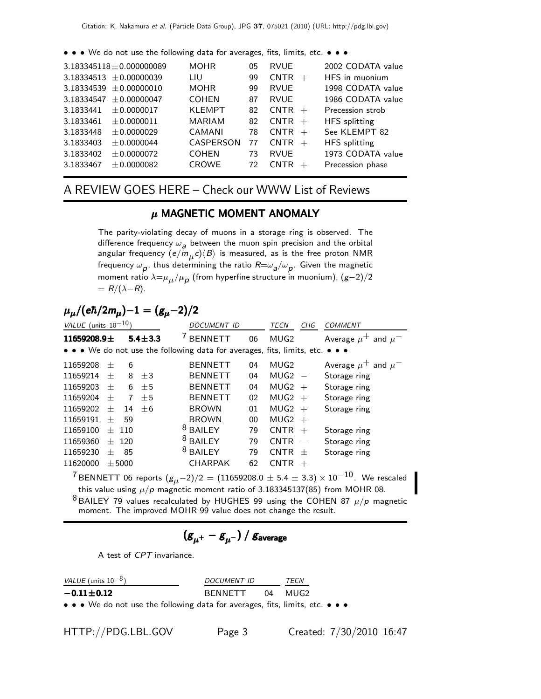• • • We do not use the following data for averages, fits, limits, etc. • • •

|                             | $3.183345118 \pm 0.000000089$ | <b>MOHR</b>      | 05 | <b>RVUE</b> |     | 2002 CODATA value    |
|-----------------------------|-------------------------------|------------------|----|-------------|-----|----------------------|
| $3.18334513 \pm 0.00000039$ |                               | LIU              | 99 | $CNTR +$    |     | HFS in muonium       |
| $3.18334539 \pm 0.00000010$ |                               | <b>MOHR</b>      | 99 | <b>RVUE</b> |     | 1998 CODATA value    |
| 3.18334547                  | ±0.00000047                   | <b>COHEN</b>     | 87 | <b>RVUE</b> |     | 1986 CODATA value    |
| 3.1833441                   | ± 0.0000017                   | <b>KLEMPT</b>    | 82 | $CNTR +$    |     | Precession strob     |
| 3.1833461                   | ± 0.0000011                   | MARIAM           | 82 | $CNTR +$    |     | HFS splitting        |
| 3.1833448                   | $+0.0000029$                  | CAMANI           | 78 | $CNTR +$    |     | See KLEMPT 82        |
| 3.1833403                   | ± 0.0000044                   | <b>CASPERSON</b> | 77 | $CNTR +$    |     | <b>HFS</b> splitting |
| 3.1833402                   | ±0.0000072                    | <b>COHEN</b>     | 73 | <b>RVUE</b> |     | 1973 CODATA value    |
| 3.1833467                   | $+0.0000082$                  | <b>CROWE</b>     | 72 | <b>CNTR</b> | $+$ | Precession phase     |
|                             |                               |                  |    |             |     |                      |

# A REVIEW GOES HERE – Check our WWW List of Reviews

# $\mu$  MAGNETIC MOMENT ANOMALY

The parity-violating decay of muons in a storage ring is observed. The difference frequency  $\omega_{a}$  between the muon spin precision and the orbital<br>angular frequency (e/m,,c)(B) is measured, as is the free proton NMR angular frequency  $(e/m_{\mu}c)\langle B \rangle$  is measured, as is the free proton NMR frequency  $\omega_{\boldsymbol{p}}$ , thus determining the ratio  $R=\omega_{\boldsymbol{a}}/\omega_{\boldsymbol{p}}$ . Given the magnetic<br>moment ratio  $\lambda=\mu$ , / $\mu$ , (from hyperfine structure in muonium), (*e*—2)/2 moment ratio  $\lambda = \mu_{\mu}/\mu_{\rho}$  (from hyperfine structure in muonium),  $(g-2)/2$  $= R/(\lambda-R)$ .

# $\mu_{\mu}/(e\hbar/2m_{\mu})-1=(g_{\mu}-2)/2$

| VALUE (units $10^{-10}$ ) |        |            |               | <b>DOCUMENT ID</b>                                                            |    | <b>TECN</b>      | CHG                      | <b>COMMENT</b>              |
|---------------------------|--------|------------|---------------|-------------------------------------------------------------------------------|----|------------------|--------------------------|-----------------------------|
| 11659208.9 $\pm$          |        |            | $5.4 \pm 3.3$ | <b>BENNETT</b>                                                                | 06 | MUG <sub>2</sub> |                          | Average $\mu^+$ and $\mu^-$ |
|                           |        |            |               | • • • We do not use the following data for averages, fits, limits, etc. • • • |    |                  |                          |                             |
| 11659208                  | $^{+}$ | 6          |               | <b>BENNETT</b>                                                                | 04 | MUG2             |                          | Average $\mu^+$ and $\mu^-$ |
| 11659214                  | $^{+}$ | 8          | $\pm$ 3       | <b>BENNETT</b>                                                                | 04 | $MUG2 -$         |                          | Storage ring                |
| 11659203                  | $^{+}$ | 6          | $+5$          | <b>BENNETT</b>                                                                | 04 | MUG2             | $+$                      | Storage ring                |
| 11659204                  | $^{+}$ | 7          | $+5$          | <b>BENNETT</b>                                                                | 02 | $MUG2 +$         |                          | Storage ring                |
| 11659202                  | $^{+}$ | 14         | $+6$          | <b>BROWN</b>                                                                  | 01 | $MUG2 +$         |                          | Storage ring                |
| 11659191                  | $^{+}$ | 59         |               | <b>BROWN</b>                                                                  | 00 | $MUG2 +$         |                          |                             |
| 11659100                  |        | $+$ 110    |               | 8<br><b>BAILEY</b>                                                            | 79 | <b>CNTR</b>      | $+$                      | Storage ring                |
| 11659360                  | $^{+}$ | 120        |               | 8<br><b>BAILEY</b>                                                            | 79 | <b>CNTR</b>      | $\overline{\phantom{a}}$ | Storage ring                |
| 11659230                  | $^{+}$ | 85         |               | 8<br><b>BAILEY</b>                                                            | 79 | <b>CNTR</b>      | $^{+}$                   | Storage ring                |
| 11620000                  |        | $\pm$ 5000 |               | <b>CHARPAK</b>                                                                | 62 | <b>CNTR</b>      | $^{+}$                   |                             |
| $\overline{\phantom{a}}$  |        |            |               |                                                                               |    |                  |                          | $\sim$                      |

 $7.7$  BENNETT 06 reports  $(g_{\mu}-2)/2 = (11659208.0 \pm 5.4 \pm 3.3) \times 10^{-10}$ . We rescaled this value using  $\mu/p$  magnetic moment ratio of 3.183345137(85) from MOHR 08.  $8$  BAILEY 79 values recalculated by HUGHES 99 using the COHEN 87  $\mu/p$  magnetic

moment. The improved MOHR 99 value does not change the result.

$$
(g_{\mu^+}-g_{\mu^-})\,/\,g_{\rm average}
$$

A test of *CPT* invariance.

| VALUE (units $10^{-8}$ )                                                      | DOCUMENT ID | <b>TECN</b> |  |
|-------------------------------------------------------------------------------|-------------|-------------|--|
| $-0.11 \pm 0.12$                                                              | BENNETT     | 04 MUG2     |  |
| • • • We do not use the following data for averages, fits, limits, etc. • • • |             |             |  |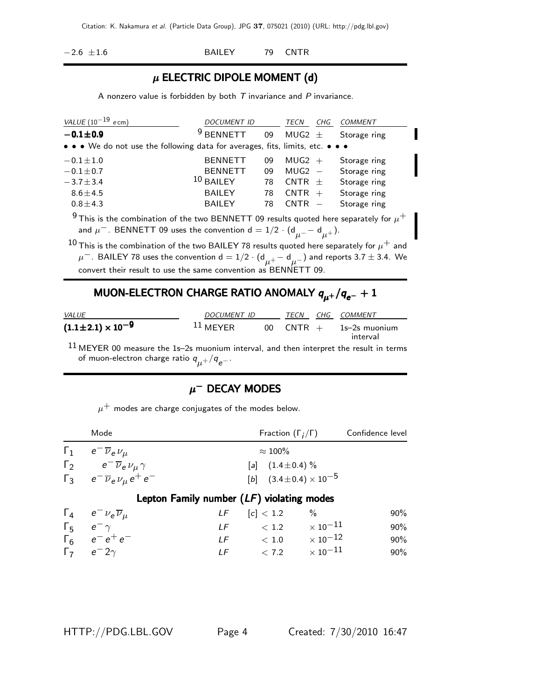−2.6 ±1.6 BAILEY 79 CNTR

# $\mu$  ELECTRIC DIPOLE MOMENT (d)

A nonzero value is forbidden by both *T* invariance and *P* invariance.

| VALUE $(10^{-19}$ ecm)                                                                                | DOCUMENT ID         |    | TECN       | CHG | COMMENT      |
|-------------------------------------------------------------------------------------------------------|---------------------|----|------------|-----|--------------|
| $-0.1 \pm 0.9$                                                                                        | 9<br><b>BENNETT</b> | 09 | MUG2 $\pm$ |     | Storage ring |
| • • • We do not use the following data for averages, fits, limits, etc. • • •                         |                     |    |            |     |              |
| $-0.1 \pm 1.0$                                                                                        | <b>BENNETT</b>      | 09 | $MUG2 +$   |     | Storage ring |
| $-0.1 \pm 0.7$                                                                                        | <b>BENNETT</b>      | 09 | $MUG2 -$   |     | Storage ring |
| $-3.7 \pm 3.4$                                                                                        | $10$ BAILEY         | 78 | $CNTR +$   |     | Storage ring |
| $8.6 \pm 4.5$                                                                                         | <b>BAILEY</b>       | 78 | $CNTR +$   |     | Storage ring |
| $0.8 + 4.3$                                                                                           | <b>BAILEY</b>       | 78 | $CNTR -$   |     | Storage ring |
| <sup>9</sup> This is the combination of the two BENNETT 09 results quoted here separately for $\mu^+$ |                     |    |            |     |              |

and  $\mu^-$ . BENNETT 09 uses the convention d = 1/2  $\cdot$  (d $_{\mu^-}$   $-$  d $_{\mu^+}$ ).

 $10$  This is the combination of the two BAILEY 78 results quoted here separately for  $\mu^+$  and  $\mu^-$ . BAILEY 78 uses the convention d  $=1/2\cdot ({\sf d}_{\mu^+} - {\sf d}_{\mu^-})$  and reports 3.7  $\pm$  3.4. We convert their result to use the same convention as BENNETT 09.

# MUON-ELECTRON CHARGE RATIO ANOMALY  $q_{\mu^+}/q_{e^-} + 1$

| <i>VALUE</i>                   | DOCUMENT ID |                 | TECN             | CHG. | COMMENT                   |
|--------------------------------|-------------|-----------------|------------------|------|---------------------------|
| $(1.1 \pm 2.1) \times 10^{-9}$ | $11$ MEYER  | 00 <sup>1</sup> | $C \text{NTR} +$ |      | 1s–2s muonium<br>interval |

 $11$  MEYER 00 measure the 1s-2s muonium interval, and then interpret the result in terms of muon-electron charge ratio *q*μ+/*<sup>q</sup> e*−.

# $\mu^-$  DECAY MODES

 $\mu^+$  modes are charge conjugates of the modes below.

|                | Mode                                                                                                  |                                           | Fraction $(\Gamma_i/\Gamma)$       |                          | Confidence level |
|----------------|-------------------------------------------------------------------------------------------------------|-------------------------------------------|------------------------------------|--------------------------|------------------|
| $\mathsf{r}_1$ | $e^{-}\overline{\nu}_{e}\nu_{\mu}$                                                                    |                                           | $\approx 100\%$                    |                          |                  |
|                |                                                                                                       |                                           | [a] $(1.4 \pm 0.4)$ %              |                          |                  |
|                | $\Gamma_2$ $e^- \overline{\nu}_e \nu_\mu \gamma$<br>$\Gamma_3$ $e^- \overline{\nu}_e \nu_\mu e^+ e^-$ |                                           | [b] $(3.4 \pm 0.4) \times 10^{-5}$ |                          |                  |
|                |                                                                                                       | Lepton Family number (LF) violating modes |                                    |                          |                  |
|                | $\Gamma_4$ $e^- \nu_e \overline{\nu}_\mu$                                                             |                                           | $LF$ $[c] < 1.2$                   | $\%$                     | 90%              |
|                | $\Gamma_5$ $e^ \gamma$                                                                                |                                           | LF $< 1.2 \times 10^{-11}$         |                          | 90%              |
|                | $\Gamma_6$ $e^-e^+e^-$                                                                                |                                           | $LF \t 1.0 \t x 10^{-12}$          |                          | 90%              |
|                | $\Gamma$ $\sim$ $\sim$ $\sim$                                                                         |                                           | $IF \t272$                         | $\sim$ 10 <sup>-11</sup> | $00\%$           |

<sup>Γ</sup><sup>7</sup> *<sup>e</sup>*<sup>−</sup> <sup>2</sup><sup>γ</sup> *LF* <sup>&</sup>lt; <sup>7</sup>.<sup>2</sup> <sup>×</sup> <sup>10</sup>−<sup>11</sup> 90%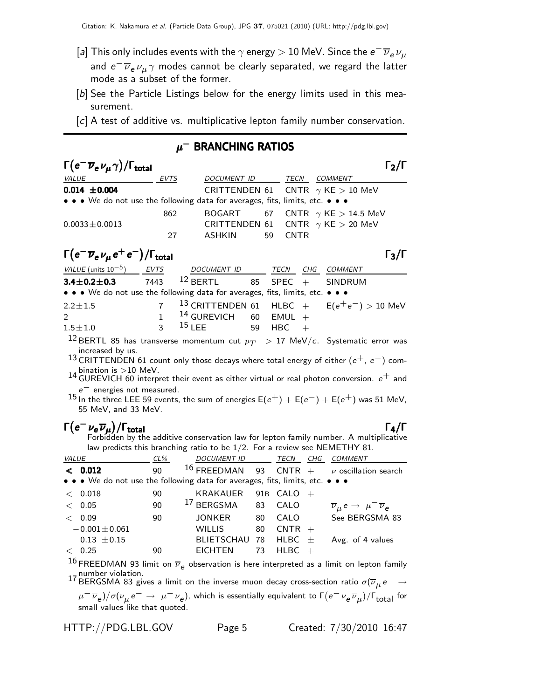- [*a*] This only includes events with the  $\gamma$  energy  $>10$  MeV. Since the  $e^-\,\overline{\nu}_e\,\nu_\mu$ and  $e^- \overline{\nu}_e \nu_\mu \gamma$  modes cannot be clearly separated, we regard the latter mode as a subset of the former.
- [b] See the Particle Listings below for the energy limits used in this measurement.
- [*c*] A test of additive vs. multiplicative lepton family number conservation.

## $\mu^-$  BRANCHING RATIOS

| $\Gamma\big(\mathrm{e}^-\overline{\nu}_\mathrm{e} \,\nu_\mu\,\gamma\big)/\Gamma_\mathrm{total}$ |      |                  |    |             |                                           | $\Gamma_2/\Gamma$ |
|-------------------------------------------------------------------------------------------------|------|------------------|----|-------------|-------------------------------------------|-------------------|
| <i>VALUE</i>                                                                                    | EVTS | DOCUMENT ID TECN |    |             | COMMENT                                   |                   |
| $0.014 \pm 0.004$                                                                               |      |                  |    |             | CRITTENDEN 61 CNTR $\gamma$ KE $>$ 10 MeV |                   |
| • • • We do not use the following data for averages, fits, limits, etc. • • •                   |      |                  |    |             |                                           |                   |
|                                                                                                 | 862  |                  |    |             | BOGART 67 CNTR $\gamma$ KE $>$ 14.5 MeV   |                   |
| $0.0033 \pm 0.0013$                                                                             |      |                  |    |             | CRITTENDEN 61 CNTR $\gamma$ KE $>$ 20 MeV |                   |
|                                                                                                 | 27   | ASHKIN           | 59 | <b>CNTR</b> |                                           |                   |
| $\Gamma(e^-\overline{\nu}_e\nu_\mu e^+e^-)/\Gamma_{\rm total}$                                  |      |                  |    |             |                                           | $\Gamma_2/\Gamma$ |

| $\Gamma(e^-\overline{\nu}_e\nu_\mu e^+e^-)/\Gamma_{\rm total}$                |                                                           |  |                | $\Gamma_3/\Gamma$ |
|-------------------------------------------------------------------------------|-----------------------------------------------------------|--|----------------|-------------------|
| VALUE (units $10^{-5}$ ) EVTS                                                 | DOCUMENT ID TECN CHG                                      |  | <b>COMMENT</b> |                   |
| <b>3.4±0.2±0.3</b> 7443 <sup>12</sup> BERTL 85 SPEC + SINDRUM                 |                                                           |  |                |                   |
| • • • We do not use the following data for averages, fits, limits, etc. • • • |                                                           |  |                |                   |
| $2.2 \pm 1.5$                                                                 | 7 <sup>13</sup> CRITTENDEN 61 HLBC + $E(e^+e^-) > 10$ MeV |  |                |                   |
| $\mathcal{P}$                                                                 | $1$ <sup>14</sup> GUREVICH 60 EMUL +                      |  |                |                   |
| $1.5 \pm 1.0$                                                                 | 3 $15$ LEE 59 HBC +                                       |  |                |                   |
|                                                                               |                                                           |  |                |                   |

<sup>12</sup> BERTL 85 has transverse momentum cut  $p_T > 17$  MeV/*c*. Systematic error was increased by us.

13 CRITTENDEN 61 count only those decays where total energy of either (*e*<sup>+</sup>, *e*<sup>−</sup>) com-

bination is >10 MeV.<br>14 GUREVICH 60 interpret their event as either virtual or real photon conversion.  $e^+$  and  $e^-$  energies not measured.

 $^{15}$  In the three LEE 59 events, the sum of energies E( $e^+$ ) + E( $e^-$ ) + E( $e^+$ ) was 51 MeV, 55 MeV, and 33 MeV.

Γ(e<sup>−</sup>νeνμ)/Γtotal<br>Forbidden by the additive conservation law for lepton family number. A multiplicative Forbidden by the additive conservation law for lepton family number. A multiplicative law predicts this branching ratio to be 1/2. For a review see NEMETHY 81.

| <b>VALUE</b> |                                                                                                                       | $CL\%$ | DOCUMENT ID              |    | TECN         | CHG COMMENT                                                     |
|--------------|-----------------------------------------------------------------------------------------------------------------------|--------|--------------------------|----|--------------|-----------------------------------------------------------------|
|              | < 0.012                                                                                                               | 90     |                          |    |              | 16 FREEDMAN 93 CNTR + $\nu$ oscillation search                  |
|              | $\bullet \bullet \bullet$ We do not use the following data for averages, fits, limits, etc. $\bullet \bullet \bullet$ |        |                          |    |              |                                                                 |
|              | $<$ 0.018                                                                                                             | 90     | KRAKAUER                 |    | 91B $CALO +$ |                                                                 |
|              | < 0.05                                                                                                                | 90     | <sup>17</sup> BERGSMA 83 |    | CALO         | $\overline{\nu}_{\mu} e \rightarrow \mu^{-} \overline{\nu}_{e}$ |
|              | < 0.09                                                                                                                | 90     | JONKER                   | 80 | CALO         | See BERGSMA 83                                                  |
|              | $-0.001 \pm 0.061$                                                                                                    |        | <b>WILLIS</b>            | 80 | $CNTR +$     |                                                                 |
|              | $0.13 \pm 0.15$                                                                                                       |        | BLIETSCHAU 78            |    | HLBC $\pm$   | Avg. of 4 values                                                |
|              | < 0.25                                                                                                                | 90     | <b>EICHTEN</b>           | 73 | $H L B C +$  |                                                                 |

16 FREEDMAN 93 limit on  $\overline{\nu}_e$  observation is here interpreted as a limit on lepton family *e* observation is here interpreted as a limit on lepton family

 $17$  BERGSMA 83 gives a limit on the inverse muon decay cross-section ratio  $\sigma(\overline{\nu}_\mu e^-\rightarrow 17$  BERGSMA 83 gives a limit on the inverse muon decay cross-section ratio  $\sigma(\overline{\nu}_\mu e^-\rightarrow 17)$ *μ*−  $\overline{\nu}_e$ )/σ( $\nu_\mu$  *e*− → μ−  $\nu_e$ ), which is essentially equivalent to Γ( $e^- \nu_e \overline{\nu}_\mu$ )/Γ<sub>total</sub> for<br>small values like that quoted. small values like that quoted.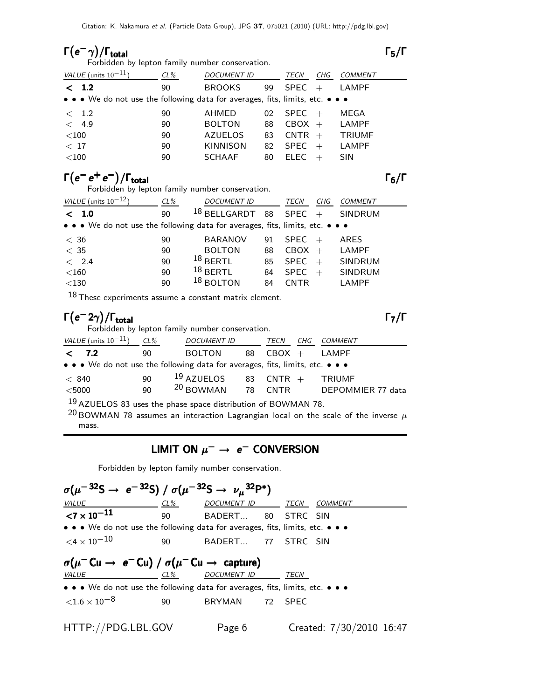Γ(e<sup>−</sup>γ)/Γ<sub>total</sub><br>Forbidden by lepton family number conservation.<br>Forbidden by lepton family number conservation. Forbidden by lepton family number conservation.

| VALUE (units $10^{-11}$ )                                                     | CL% | <b>DOCUMENT ID</b> |    | TECN        | CHG | COMMENT       |
|-------------------------------------------------------------------------------|-----|--------------------|----|-------------|-----|---------------|
| < 1.2                                                                         | 90  | <b>BROOKS</b>      | 99 | <b>SPEC</b> | $+$ | LAMPF         |
| • • • We do not use the following data for averages, fits, limits, etc. • • • |     |                    |    |             |     |               |
| < 1.2                                                                         | 90  | AHMED              | 02 | $SPEC +$    |     | MEGA          |
| 4.9<br>$\lt$                                                                  | 90  | <b>BOLTON</b>      | 88 | $CBOX +$    |     | LAMPF         |
| $<$ 100                                                                       | 90  | <b>AZUELOS</b>     | 83 | $CNTR +$    |     | <b>TRIUMF</b> |
| < 17                                                                          | 90  | <b>KINNISON</b>    | 82 | <b>SPEC</b> | $+$ | LAMPF         |
| $<$ 100                                                                       | 90  | <b>SCHAAF</b>      | 80 | <b>ELEC</b> |     | <b>SIN</b>    |
|                                                                               |     |                    |    |             |     |               |

# **Γ(e<sup>−</sup> e<sup>+</sup> e<sup>−</sup>)/Γ<sub>total</sub><br>Forbidden by lepton family number conservation.**

Forbidden by lepton family number conservation.

| VALUE (units $10^{-12}$ )                                                     | $CL\%$ | <b>DOCUMENT ID</b> |    | TECN        | CHG | COMMENT        |
|-------------------------------------------------------------------------------|--------|--------------------|----|-------------|-----|----------------|
| < 1.0                                                                         | 90     | $18$ BELLGARDT     | 88 | $SPEC +$    |     | <b>SINDRUM</b> |
| • • • We do not use the following data for averages, fits, limits, etc. • • • |        |                    |    |             |     |                |
| < 36                                                                          | 90     | <b>BARANOV</b>     | 91 | SPEC        |     | ARES           |
| < 35                                                                          | 90     | <b>BOLTON</b>      | 88 | CBOX        | $+$ | LAMPF          |
| < 2.4                                                                         | 90     | $18$ BERTL         | 85 | <b>SPEC</b> | $+$ | <b>SINDRUM</b> |
| $<$ 160                                                                       | 90     | $18$ BERTL         | 84 | <b>SPEC</b> |     | <b>SINDRUM</b> |
| $<$ 130                                                                       | 90     | $18$ BOLTON        | 84 | CNTR        |     | LAMPF          |
|                                                                               |        |                    |    |             |     |                |

18 These experiments assume a constant matrix element.

#### Γ (e<sup>−</sup>2γ)/Γ<sub>total</sub><br>Forbidden by lepton family number conservation. total  $\overline{7/}$

mass.

Forbidden by lepton family number conservation.

| VALUE (units $10^{-11}$ )                                                                                             | CL% | DOCUMENT ID            |    | TECN     | CHG | COMMENT                |  |  |
|-----------------------------------------------------------------------------------------------------------------------|-----|------------------------|----|----------|-----|------------------------|--|--|
| $\langle$<br>7.2                                                                                                      | 90  | <b>BOLTON</b>          | 88 | $CBOX +$ |     | LAMPF                  |  |  |
| $\bullet \bullet \bullet$ We do not use the following data for averages, fits, limits, etc. $\bullet \bullet \bullet$ |     |                        |    |          |     |                        |  |  |
| < 840                                                                                                                 | 90  | $19$ AZUELOS 83 CNTR + |    |          |     | <b>TRIUMF</b>          |  |  |
| $<$ 5000                                                                                                              | 90  | $20$ BOWMAN 78         |    |          |     | CNTR DEPOMMIER 77 data |  |  |
| $19$ AZUELOS 83 uses the phase space distribution of BOWMAN 78.                                                       |     |                        |    |          |     |                        |  |  |
| $^{20}$ BOWMAN 78 assumes an interaction Lagrangian local on the scale of the inverse $\mu$                           |     |                        |    |          |     |                        |  |  |

# LIMIT ON  $μ$ <sup>−</sup> →  $e$ <sup>−</sup> CONVERSION

Forbidden by lepton family number conservation.

| $\sigma(\mu^{-32}S \to e^{-32}S) / \sigma(\mu^{-32}S \to \nu_\mu^{32}P^*)$                                            |        |                    |    |             |                          |  |
|-----------------------------------------------------------------------------------------------------------------------|--------|--------------------|----|-------------|--------------------------|--|
| VALUE                                                                                                                 | $CL\%$ | DOCUMENT ID        |    | TECN        | <b>COMMENT</b>           |  |
| ${<}7\times10^{-11}$                                                                                                  | 90     | BADERT 80          |    | STRC SIN    |                          |  |
| $\bullet \bullet \bullet$ We do not use the following data for averages, fits, limits, etc. $\bullet \bullet \bullet$ |        |                    |    |             |                          |  |
| $\epsilon$ 4 $\times$ 10 $^{-10}$                                                                                     | 90     | BADERT 77          |    | STRC SIN    |                          |  |
| $\sigma(\mu^- \text{Cu} \rightarrow e^- \text{Cu}) / \sigma(\mu^- \text{Cu} \rightarrow \text{ capture})$             |        |                    |    |             |                          |  |
| <b>VALUE</b>                                                                                                          | CL%    | <b>DOCUMENT ID</b> |    | TECN        |                          |  |
| $\bullet \bullet \bullet$ We do not use the following data for averages, fits, limits, etc. $\bullet \bullet \bullet$ |        |                    |    |             |                          |  |
| ${<}1.6\times10^{-8}$                                                                                                 | 90     | BRYMAN             | 72 | <b>SPEC</b> |                          |  |
| HTTP://PDG.LBL.GOV                                                                                                    |        | Page 6             |    |             | Created: 7/30/2010 16:47 |  |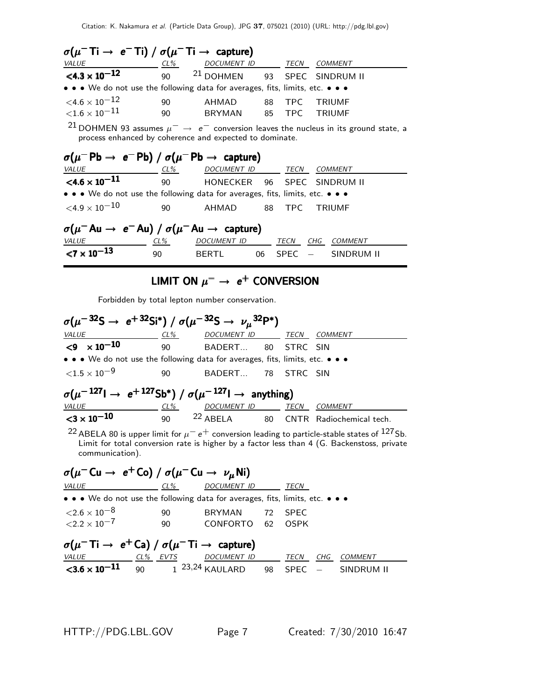| $\sigma(\mu^- \text{Ti} \rightarrow e^- \text{Ti}) / \sigma(\mu^- \text{Ti} \rightarrow \text{ capture})$                                                               |          |                                         |  |        |                         |  |  |  |  |
|-------------------------------------------------------------------------------------------------------------------------------------------------------------------------|----------|-----------------------------------------|--|--------|-------------------------|--|--|--|--|
| VALUE<br>$CL\%$                                                                                                                                                         |          | DOCUMENT ID TECN COMMENT                |  |        |                         |  |  |  |  |
| $\leq 4.3 \times 10^{-12}$                                                                                                                                              | 90       | <sup>21</sup> DOHMEN 93 SPEC SINDRUM II |  |        |                         |  |  |  |  |
| • • • We do not use the following data for averages, fits, limits, etc. • • •                                                                                           |          |                                         |  |        |                         |  |  |  |  |
| $<$ 4.6 $\times$ 10 $^{-12}$<br>${<}1.6\times10^{-11}$                                                                                                                  | 90<br>90 | AHMAD<br>BRYMAN 85 TPC                  |  | 88 TPC | <b>TRIUMF</b><br>TRIUMF |  |  |  |  |
| <sup>21</sup> DOHMEN 93 assumes $\mu^- \rightarrow e^-$ conversion leaves the nucleus in its ground state, a<br>process enhanced by coherence and expected to dominate. |          |                                         |  |        |                         |  |  |  |  |
| $\sigma(\mu^-$ Pb $\rightarrow e^-$ Pb) / $\sigma(\mu^-$ Pb $\rightarrow$ capture)                                                                                      |          |                                         |  |        |                         |  |  |  |  |
| <i>VALUE</i>                                                                                                                                                            | $CL\%$   | DOCUMENT ID                             |  | TECN   | <i>COMMENT</i>          |  |  |  |  |

| $<$ 4.6 $\times$ 10 $^{-11}$                                                    | - 90 |                     |  |  | HONECKER 96 SPEC SINDRUM II |  |  |  |  |
|---------------------------------------------------------------------------------|------|---------------------|--|--|-----------------------------|--|--|--|--|
| • • • We do not use the following data for averages, fits, limits, etc. • • •   |      |                     |  |  |                             |  |  |  |  |
| ${<}4.9\times10^{-10}$                                                          | 90.  | AHMAD 88 TPC TRIUMF |  |  |                             |  |  |  |  |
| $\sigma(\mu^- A u \rightarrow e^- A u) / \sigma(\mu^- A u \rightarrow$ capture) |      |                     |  |  |                             |  |  |  |  |

| $\sigma(\mu^- A u \rightarrow e^- A u) / \sigma(\mu^- A u \rightarrow$ capture) |     |              |  |                      |  |
|---------------------------------------------------------------------------------|-----|--------------|--|----------------------|--|
| <i>VALUE</i>                                                                    | CL% | DOCUMENT ID  |  | TECN CHG COMMENT     |  |
| ${1 \times 10^{-13}}$                                                           | 90  | <b>RERTI</b> |  | 06 SPEC - SINDRUM II |  |

# LIMIT ON  $μ^-$  →  $e^+$  CONVERSION

Forbidden by total lepton number conservation.

| $\sigma(\mu^{-32}S \to e^{+32}Si^*) / \sigma(\mu^{-32}S \to \nu_\mu^{32}P^*)$                                         |     |                          |  |  |                                                 |  |  |
|-----------------------------------------------------------------------------------------------------------------------|-----|--------------------------|--|--|-------------------------------------------------|--|--|
| VALUE                                                                                                                 | CL% | DOCUMENT ID TECN COMMENT |  |  |                                                 |  |  |
| $< 9 \times 10^{-10}$                                                                                                 | 90  | BADERT 80 STRC SIN       |  |  |                                                 |  |  |
| $\bullet \bullet \bullet$ We do not use the following data for averages, fits, limits, etc. $\bullet \bullet \bullet$ |     |                          |  |  |                                                 |  |  |
| ${<}1.5\times10^{-9}$                                                                                                 | 90  | BADERT 78 STRC SIN       |  |  |                                                 |  |  |
| $\sigma(\mu^{-127} \rightarrow e^{+127} Sb^*) / \sigma(\mu^{-127} \rightarrow$ anything)                              |     |                          |  |  |                                                 |  |  |
| VALUE<br>$CL\%$                                                                                                       |     | DOCUMENT ID TECN         |  |  | COMMENT                                         |  |  |
| ${<}3 \times 10^{-10}$                                                                                                | 90  |                          |  |  | <sup>22</sup> ABELA 80 CNTR Radiochemical tech. |  |  |
| $\sim$ $\sim$                                                                                                         |     |                          |  |  |                                                 |  |  |

<sup>22</sup> ABELA 80 is upper limit for  $\mu^-$  e<sup>+</sup> conversion leading to particle-stable states of <sup>127</sup>Sb.<br>Limit for total conversion rate is higher by a factor less than 4 (G. Backenstoss, private communication).

| $\sigma(\mu^-$ Cu $\rightarrow e^+$ Co) / $\sigma(\mu^-$ Cu $\rightarrow \nu_\mu$ Ni)                             |        |                     |  |             |     |            |  |  |
|-------------------------------------------------------------------------------------------------------------------|--------|---------------------|--|-------------|-----|------------|--|--|
| <b>VALUE</b>                                                                                                      | $CL\%$ | <b>DOCUMENT ID</b>  |  | TECN        |     |            |  |  |
| • • • We do not use the following data for averages, fits, limits, etc. • • •                                     |        |                     |  |             |     |            |  |  |
| ${<}2.6\times10^{-8}$                                                                                             | 90     | <b>BRYMAN</b><br>72 |  | <b>SPEC</b> |     |            |  |  |
| $<$ 2.2 $\times$ 10 <sup>-7</sup>                                                                                 | 90     | CONFORTO 62         |  | <b>OSPK</b> |     |            |  |  |
| $\sigma(\mu^- \textsf{Ti} \rightarrow e^+ \textsf{Ca}) / \sigma(\mu^- \textsf{Ti} \rightarrow \textsf{ capture})$ |        |                     |  |             |     |            |  |  |
| <b>VALUE</b><br>CL% EVTS                                                                                          |        | DOCUMENT ID         |  | TECN        | CHG | COMMENT    |  |  |
| $\leq$ 3.6 $\times$ 10 <sup>-11</sup> 90 1 <sup>23,24</sup> KAULARD 98                                            |        |                     |  | $SPEC -$    |     | SINDRUM II |  |  |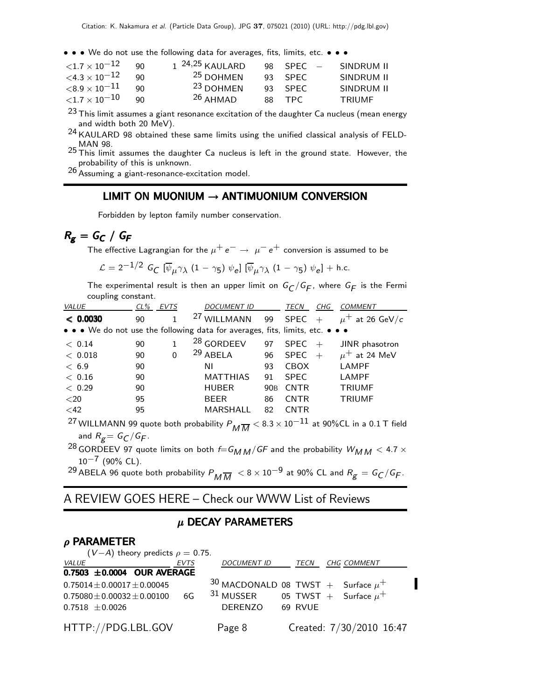• • • We do not use the following data for averages, fits, limits, etc. • • •

| ${<}1.7\times10^{-12}$  | 90. | 1 <sup>24,25</sup> KAULARD | $98$ SPFC $-$ | SINDRUM II    |
|-------------------------|-----|----------------------------|---------------|---------------|
| $\{4.3\times10^{-12}\}$ | ۹N  | <sup>25</sup> DOHMEN       | $93$ SPFC     | SINDRUM II    |
| ${<}8.9\times10^{-11}$  | 90  | <sup>23</sup> DOHMEN       | $93$ SPFC     | SINDRUM II    |
| ${<}1.7\times10^{-10}$  | 90  | $26$ AHMAD                 | 88 TPC        | <b>TRIUMF</b> |
|                         |     |                            |               |               |

 $23$  This limit assumes a giant resonance excitation of the daughter Ca nucleus (mean energy and width both 20 MeV).

24 KAULARD 98 obtained these same limits using the unified classical analysis of FELD-MAN 98.

25 This limit assumes the daughter Ca nucleus is left in the ground state. However, the probability of this is unknown.

26 Assuming a giant-resonance-excitation model.

## LIMIT ON MUONIUM  $\rightarrow$  ANTIMUONIUM CONVERSION

Forbidden by lepton family number conservation.

# $R_g = G_C / G_F$

The effective Lagrangian for the  $\mu^+ e^- \rightarrow \mu^- e^+$  conversion is assumed to be

$$
\mathcal{L} = 2^{-1/2} G_C \left[ \overline{\psi}_{\mu} \gamma_{\lambda} (1 - \gamma_5) \psi_{e} \right] \left[ \overline{\psi}_{\mu} \gamma_{\lambda} (1 - \gamma_5) \psi_{e} \right] + \text{h.c.}
$$

The experimental result is then an upper limit on  $G_C/G_F$ , where  $G_F$  is the Fermi coupling constant.

| <b>VALUE</b>          | CL% EVTS |              | DOCUMENT ID                                                                                                               |                 | TECN        | CHG | <b>COMMENT</b>      |
|-----------------------|----------|--------------|---------------------------------------------------------------------------------------------------------------------------|-----------------|-------------|-----|---------------------|
| < 0.0030              | 90       | $\mathbf{1}$ | $27$ WILLMANN 99 SPEC +                                                                                                   |                 |             |     | $\mu^+$ at 26 GeV/c |
|                       |          |              | • • • We do not use the following data for averages, fits, limits, etc. • • •                                             |                 |             |     |                     |
| < 0.14                | 90       | $\mathbf{1}$ | <sup>28</sup> GORDEEV                                                                                                     | 97              | $SPEC +$    |     | JINR phasotron      |
| < 0.018               | 90       | $\Omega$     | $29$ ABELA                                                                                                                | 96              | $SPEC +$    |     | $\mu^+$ at 24 MeV   |
| < 6.9                 | 90       |              | ΝI                                                                                                                        | 93              | <b>CBOX</b> |     | <b>LAMPF</b>        |
| < 0.16                | 90       |              | <b>MATTHIAS</b>                                                                                                           | 91              | <b>SPEC</b> |     | <b>LAMPF</b>        |
| < 0.29                | 90       |              | <b>HUBER</b>                                                                                                              | 90 <sub>B</sub> | CNTR        |     | <b>TRIUMF</b>       |
| ${<}20$               | 95       |              | <b>BEER</b>                                                                                                               | 86              | <b>CNTR</b> |     | <b>TRIUMF</b>       |
| $<$ 42                | 95       |              | <b>MARSHALL</b>                                                                                                           | 82              | <b>CNTR</b> |     |                     |
|                       |          |              | $^{27}$ WILLMANN 99 quote both probability $P_{\overline{M}\overline{M}} < 8.3 \times 10^{-11}$ at 90%CL in a 0.1 T field |                 |             |     |                     |
| and $R_g = G_C/G_F$ . |          |              |                                                                                                                           |                 |             |     |                     |
|                       |          |              | 28 CORDEEV 97 guote limits on both $f(G, \ldots)$ (CE and the probability $W_1, \ldots, Z_1 Z$ x                          |                 |             |     |                     |

<sup>28</sup> GORDEEV 97 quote limits on both  $f=G_{M\,M}/GF$  and the probability  $W_{M\,M} < 4.7\times 10^{-7}$  (90% CL)  $10^{-7}$  (90% CL).

<sup>29</sup> ABELA 96 quote both probability  $P_{\overline{MM}}$  < 8 × 10<sup>-9</sup> at 90% CL and  $R_g = G_C/G_F$ .

# A REVIEW GOES HERE – Check our WWW List of Reviews

#### $\mu$  DECAY PARAMETERS

#### $ρ$  PARAMETER

|                                   | $(V-A)$ theory predicts $\rho = 0.75$ . |             |                                          |  |                          |  |
|-----------------------------------|-----------------------------------------|-------------|------------------------------------------|--|--------------------------|--|
| <i>VALUE</i>                      |                                         | <b>EVTS</b> | DOCUMENT ID TECN CHG COMMENT             |  |                          |  |
| 0.7503 $\pm$ 0.0004 OUR AVERAGE   |                                         |             |                                          |  |                          |  |
| $0.75014 \pm 0.00017 \pm 0.00045$ |                                         |             | $30$ MACDONALD 08 TWST + Surface $\mu^+$ |  |                          |  |
| $0.75080 \pm 0.00032 \pm 0.00100$ |                                         | 6G          | $31$ MUSSER 05 TWST + Surface $\mu^+$    |  |                          |  |
| $0.7518 \pm 0.0026$               |                                         |             | DERENZO 69 RVUE                          |  |                          |  |
|                                   |                                         |             |                                          |  |                          |  |
| HTTP://PDG.LBL.GOV                |                                         |             | Page 8                                   |  | Created: 7/30/2010 16:47 |  |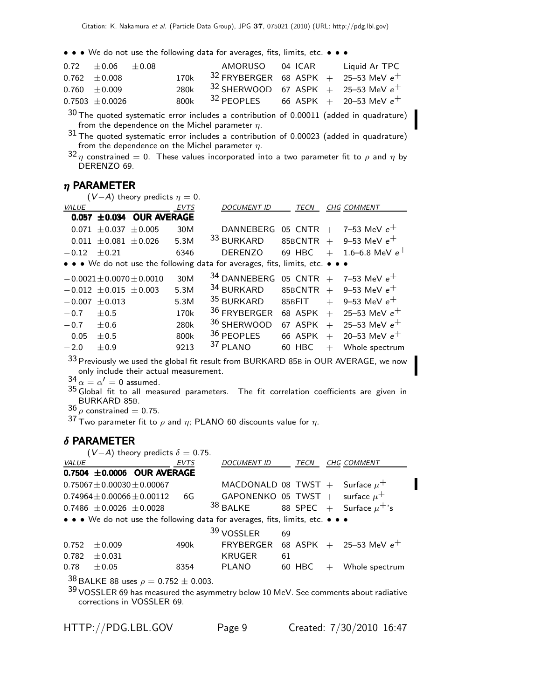• • We do not use the following data for averages, fits, limits, etc. • • •

|   | $0.72 \pm 0.06 \pm 0.08$ |  | AMORUSO 04 ICAR Liquid Ar TPC                 |  |  |
|---|--------------------------|--|-----------------------------------------------|--|--|
|   | $0.762 \pm 0.008$        |  | 170k $32$ FRYBERGER 68 ASPK + 25-53 MeV $e^+$ |  |  |
|   | $0.760 \pm 0.009$        |  | 280k $32$ SHERWOOD 67 ASPK + 25-53 MeV $e^+$  |  |  |
|   | $0.7503 \pm 0.0026$      |  | 800k $32$ PEOPLES 66 ASPK + 20-53 MeV $e^+$   |  |  |
| ີ |                          |  |                                               |  |  |

 $30$  The quoted systematic error includes a contribution of 0.00011 (added in quadrature)

<sup>31</sup> The quoted systematic error includes a contribution of 0.00023 (added in quadrature) from the dependence on the Michel parameter  $\eta$ .

 $f^{32}$   $\eta$  constrained = 0. These values incorporated into a two parameter fit to  $\rho$  and  $\eta$  by DERENZO 69.

# $\eta$  PARAMETER

|                |                              | $(V-A)$ theory predicts $\eta = 0$ . |             |                                                                               |         |        |                             |
|----------------|------------------------------|--------------------------------------|-------------|-------------------------------------------------------------------------------|---------|--------|-----------------------------|
| VALUE          |                              |                                      | <b>EVTS</b> | <b>DOCUMENT ID</b>                                                            | TECN    |        | <b>CHG COMMENT</b>          |
|                |                              | 0.057 ±0.034 OUR AVERAGE             |             |                                                                               |         |        |                             |
|                | $0.071 \pm 0.037 \pm 0.005$  |                                      | 30M         | DANNEBERG                                                                     |         |        | 05 CNTR $+$ 7–53 MeV $e^+$  |
|                | $0.011 + 0.081 + 0.026$      |                                      | 5.3M        | 33 BURKARD                                                                    | 85BCNTR |        | $+$ 9-53 MeV $e^+$          |
| $-0.12$        | $+0.21$                      |                                      | 6346        | DERENZO                                                                       | 69 HBC  | $+$    | $1.6\hbox{--}6.8$ MeV $e^+$ |
|                |                              |                                      |             | • • • We do not use the following data for averages, fits, limits, etc. • • • |         |        |                             |
|                |                              | $-0.0021 \pm 0.0070 \pm 0.0010$      | 30M         | $34$ DANNEBERG 05 CNTR + 7-53 MeV $e^+$                                       |         |        |                             |
|                | $-0.012 \pm 0.015 \pm 0.003$ |                                      | 5.3M        | 34 BURKARD                                                                    |         |        | 85BCNTR + 9-53 MeV $e^+$    |
| $-0.007$       | $\pm 0.013$                  |                                      | 5.3M        | 35 BURKARD                                                                    | 85BFIT  | $+$    | 9–53 MeV $e^+$              |
| $-0.7 \pm 0.5$ |                              |                                      | 170k        | <sup>36</sup> FRYBERGER                                                       | 68 ASPK | $+$    | 25–53 MeV $e^+$             |
| $-0.7$         | $+0.6$                       |                                      | 280k        | 36 SHERWOOD                                                                   | 67 ASPK | $+$    | 25–53 MeV $e^+$             |
| 0.05           | $+0.5$                       |                                      | 800k        | 36 PEOPLES                                                                    | 66 ASPK | $+$    | 20–53 MeV $e^+$             |
| $-2.0$         | $+0.9$                       |                                      | 9213        | 37 PLANO                                                                      | 60 HBC  | $^{+}$ | Whole spectrum              |
|                |                              |                                      |             |                                                                               |         |        |                             |

33 Previously we used the global fit result from BURKARD 85B in OUR AVERAGE, we now only include their actual measurement.

 $34 \alpha = \alpha' = 0$  assumed.

 $35 \text{ Global}$  fit to all measured parameters. The fit correlation coefficients are given in BURKARD 85B.<br> $36 \rho$  constrained = 0.75.

37 Two parameter fit to  $\rho$  and  $\eta$ ; PLANO 60 discounts value for  $\eta$ .

#### $\delta$  PARAMETER

 $(V-A)$  theory predicts  $\delta = 0.75$ .

| VALUE |                               |                                                                             | <b>EVTS</b> | <b>DOCUMENT ID</b>                                                                    |    | TECN   |     | <b>CHG COMMENT</b>                                     |
|-------|-------------------------------|-----------------------------------------------------------------------------|-------------|---------------------------------------------------------------------------------------|----|--------|-----|--------------------------------------------------------|
|       |                               | 0.7504 ±0.0006 OUR AVERAGE                                                  |             |                                                                                       |    |        |     |                                                        |
|       | $0.75067 + 0.00030 + 0.00067$ |                                                                             |             | MACDONALD 08 TWST + Surface $\mu^+$                                                   |    |        |     |                                                        |
|       | $0.74964 + 0.00066 + 0.00112$ |                                                                             | 6G          | GAPONENKO 05 TWST + surface $\mu^+$                                                   |    |        |     |                                                        |
|       | $0.7486 + 0.0026 + 0.0028$    |                                                                             |             | $38$ BALKE                                                                            |    |        |     | 88 <code>SPEC <math>+</math> Surface</code> $\mu^+$ 's |
|       |                               |                                                                             |             | • • • We do not use the following data for averages, fits, limits, etc. • • •         |    |        |     |                                                        |
|       |                               |                                                                             |             | 39 VOSSLER                                                                            | 69 |        |     |                                                        |
| 0.752 | $+0.009$                      |                                                                             | 490k        | <b>FRYBERGER</b>                                                                      |    |        |     | 68 ASPK + 25-53 MeV $e^+$                              |
| 0.782 | $\pm 0.031$                   |                                                                             |             | <b>KRUGER</b>                                                                         | 61 |        |     |                                                        |
| 0.78  | $\pm 0.05$                    |                                                                             | 8354        | PLANO                                                                                 |    | 60 HBC | $+$ | Whole spectrum                                         |
|       |                               | $38$ BALKE 88 uses $\rho = 0.752 \pm 0.003$ .<br>corrections in VOSSLER 69. |             | $39$ VOSSLER 69 has measured the asymmetry below 10 MeV. See comments about radiative |    |        |     |                                                        |

HTTP://PDG.LBL.GOV Page 9 Created: 7/30/2010 16:47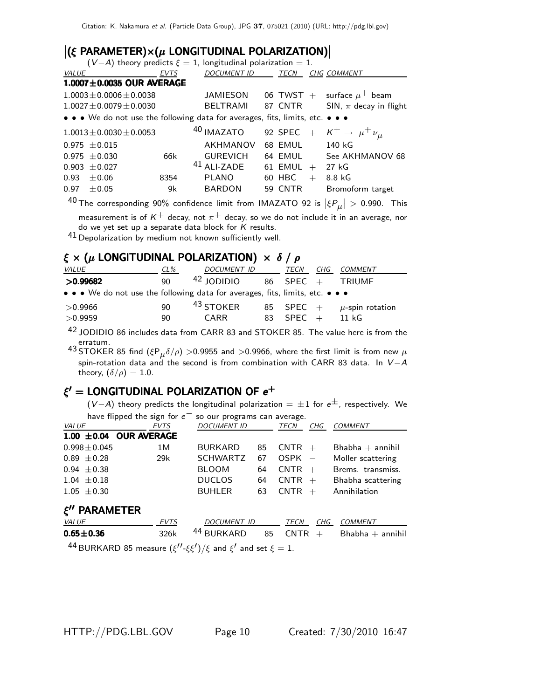| $ (\xi \text{ PARAMETER}) \times (\mu \text{ LONGITUDINAL POLARIZATION}) $<br>$(V-A)$ theory predicts $\xi = 1$ , longitudinal polarization = 1. |                                                                               |             |                 |  |                   |  |                                           |  |  |  |  |
|--------------------------------------------------------------------------------------------------------------------------------------------------|-------------------------------------------------------------------------------|-------------|-----------------|--|-------------------|--|-------------------------------------------|--|--|--|--|
| VALUE                                                                                                                                            |                                                                               | <b>EVTS</b> | DOCUMENT ID     |  | TECN              |  | <b>CHG COMMENT</b>                        |  |  |  |  |
|                                                                                                                                                  | $1.0007 \pm 0.0035$ OUR AVERAGE                                               |             |                 |  |                   |  |                                           |  |  |  |  |
|                                                                                                                                                  | $1.0003 \pm 0.0006 \pm 0.0038$                                                |             | JAMIESON        |  |                   |  | 06 TWST + surface $\mu^+$ beam            |  |  |  |  |
|                                                                                                                                                  | $1.0027 \pm 0.0079 \pm 0.0030$                                                |             | BELTRAMI        |  | 87 CNTR           |  | SIN, $\pi$ decay in flight                |  |  |  |  |
|                                                                                                                                                  | • • • We do not use the following data for averages, fits, limits, etc. • • • |             |                 |  |                   |  |                                           |  |  |  |  |
|                                                                                                                                                  | $1.0013 \pm 0.0030 \pm 0.0053$                                                |             | 40 IMAZATO      |  |                   |  | 92 SPEC + $K^+ \rightarrow \mu^+ \nu_\mu$ |  |  |  |  |
| $0.975 \pm 0.015$                                                                                                                                |                                                                               |             | <b>AKHMANOV</b> |  | 68 EMUL           |  | 140 kG                                    |  |  |  |  |
| $0.975 + 0.030$                                                                                                                                  |                                                                               | 66k         | <b>GUREVICH</b> |  | 64 EMUL           |  | See AKHMANOV 68                           |  |  |  |  |
| $0.903 \pm 0.027$                                                                                                                                |                                                                               |             | $41$ ALI-ZADE   |  | 61 EMUL $+$ 27 kG |  |                                           |  |  |  |  |
| 0.93                                                                                                                                             | $\pm 0.06$                                                                    | 8354        | PLANO           |  | 60 HBC $+$        |  | 8.8 kG                                    |  |  |  |  |
| 0.97                                                                                                                                             | $\pm 0.05$                                                                    | 9k          | <b>BARDON</b>   |  | 59 CNTR           |  | Bromoform target                          |  |  |  |  |
| $\sim$                                                                                                                                           |                                                                               |             |                 |  |                   |  |                                           |  |  |  |  |

 $^{40}$  The corresponding 90% confidence limit from IMAZATO 92 is  $|\xi P_\mu| >$  0.990. This

measurement is of  $K^+$  decay, not  $\pi^+$  decay, so we do not include it in an average, nor<br>do we vet set up a separate data block for K results do we yet set up a separate data block for *K* results.

41 Depolarization by medium not known sufficiently well.

## $ξ \times (μ$  LONGITUDINAL POLARIZATION)  $\times δ / ρ$

| <i>VALUE</i>                                                                  | $CL\%$ | DOCUMENT ID          | TECN        | CHG COMMENT                    |
|-------------------------------------------------------------------------------|--------|----------------------|-------------|--------------------------------|
| >0.99682                                                                      | 90     | $42$ JODIDIO         |             | 86 SPEC + TRIUMF               |
| • • • We do not use the following data for averages, fits, limits, etc. • • • |        |                      |             |                                |
| >0.9966                                                                       | 90     | <sup>43</sup> STOKER |             | 85 SPEC + $\mu$ -spin rotation |
| >0.9959                                                                       | 90     | <b>CARR</b>          | 83 SPEC $+$ | 11 kG                          |
|                                                                               |        |                      |             |                                |

42 JODIDIO 86 includes data from CARR 83 and STOKER 85. The value here is from the erratum.

43 STOKER 85 find  $(\xi P_\mu \delta/\rho) > 0.9955$  and  $> 0.9966$ , where the first limit is from new  $\mu$ spin-rotation data and the second is from combination with CARR 83 data. In *V* <sup>−</sup>*A* theory,  $(\delta/\rho) = 1.0$ .

# ξ' = LONGITUDINAL POLARIZATION OF  $e^+$

 $(V-A)$  theory predicts the longitudinal polarization =  $\pm 1$  for  $e^{\pm}$ , respectively. We have flipped the sign for *e*<sup>−</sup> so our programs can average.

|                                   | $\frac{1}{2}$ in the contract $\frac{1}{2}$ in the contract $\frac{1}{2}$ | so our programs can average. |    |             |     |                       |
|-----------------------------------|---------------------------------------------------------------------------|------------------------------|----|-------------|-----|-----------------------|
| <b>VALUE</b>                      | <b>EVTS</b>                                                               | <b>DOCUMENT ID</b>           |    | TECN        | CHG | <b>COMMENT</b>        |
|                                   | $1.00 \pm 0.04$ OUR AVERAGE                                               |                              |    |             |     |                       |
| $0.998 \pm 0.045$                 | 1M                                                                        | <b>BURKARD</b>               | 85 | $CNTR +$    |     | $B$ habha $+$ annihil |
| $0.89 \pm 0.28$                   | 29k                                                                       | <b>SCHWARTZ</b>              | 67 | $OSPK -$    |     | Moller scattering     |
| $0.94 \pm 0.38$                   |                                                                           | <b>BLOOM</b>                 | 64 | $CNTR +$    |     | Brems. transmiss.     |
| $1.04 \pm 0.18$                   |                                                                           | <b>DUCLOS</b>                | 64 | $CNTR +$    |     | Bhabha scattering     |
| $1.05 \pm 0.30$                   |                                                                           | <b>BUHLER</b>                | 63 | $CNTR +$    |     | Annihilation          |
| $\xi''$ PARAMETER<br><i>VALUE</i> | <b>EVTS</b>                                                               | <b>DOCUMENT ID</b>           |    | <b>TECN</b> | CHG | <b>COMMENT</b>        |
| $0.65 \pm 0.36$                   | 326k                                                                      | 44 BURKARD                   | 85 | <b>CNTR</b> | $+$ | $B$ habha $+$ annihil |

 $^{44}$ BURKARD 85 measure  $(\xi''\text{-}\xi\xi')/\xi$  and  $\xi'$  and set  $\xi=1.$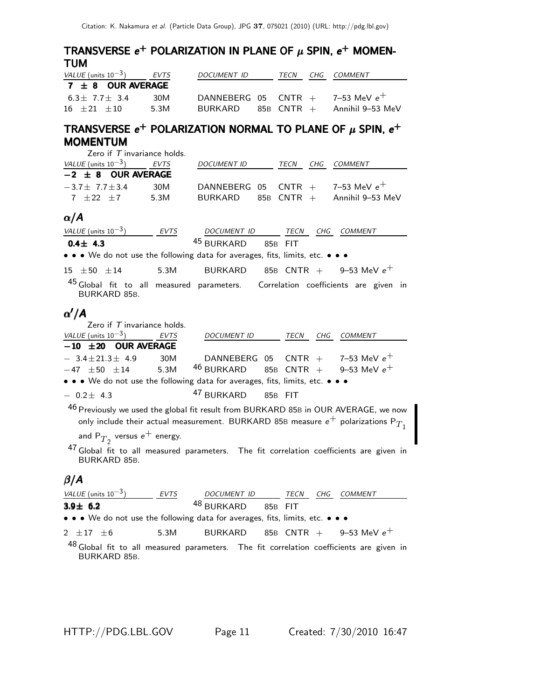# TRANSVERSE  $e^+$  POLARIZATION IN PLANE OF  $\mu$  SPIN,  $e^+$  MOMEN-<br>TIIM TUM TUM

| VALUE (units $10^{-3}$ ) | EVTS | DOCUMENT ID                          | TECN | CHG COMMENT                     |
|--------------------------|------|--------------------------------------|------|---------------------------------|
| $7 \pm 8$ OUR AVERAGE    |      |                                      |      |                                 |
| $6.3 + 7.7 + 3.4$        | 30M  | DANNEBERG 05 CNTR $+$ 7-53 MeV $e^+$ |      |                                 |
| $16 + 21 + 10$           | 5.3M | BURKARD                              |      | $85B$ CNTR $+$ Annihil 9–53 MeV |

# TRANSVERSE  $e^+$  POLARIZATION NORMAL TO PLANE OF  $\mu$  SPIN,  $e^+$ MOMENTUM MOMENTUM

| Zero if $T$ invariance holds. |      |                    |      |                                         |
|-------------------------------|------|--------------------|------|-----------------------------------------|
| VALUE (units $10^{-3}$ ) EVTS |      | <i>DOCUMENT ID</i> | TECN | CHG COMMENT                             |
| $-2 \pm 8$ OUR AVERAGE        |      |                    |      |                                         |
| $-3.7 + 7.7 + 3.4$            | 30M  |                    |      | DANNEBERG 05 CNTR $+$ 7-53 MeV $e^+$    |
| $7 + 22 + 7$                  | 5.3M |                    |      | $BURKARD$ 85B $CNTR$ + Annihil 9-53 MeV |
|                               |      |                    |      |                                         |

### <sup>α</sup>/*A*

| VALUE (units $10^{-3}$ )                                                                        | <b>EVTS</b> | DOCUMENT ID TECN      |         |      | CHG | <b>COMMENT</b>                       |  |
|-------------------------------------------------------------------------------------------------|-------------|-----------------------|---------|------|-----|--------------------------------------|--|
| $0.4 \pm 4.3$                                                                                   |             | 45 BURKARD            | 85B FIT |      |     |                                      |  |
| • • • We do not use the following data for averages, fits, limits, etc. • • •                   |             |                       |         |      |     |                                      |  |
| $15 \pm 50 \pm 14$                                                                              | 5.3M        | BURKARD               |         |      |     | 85B CNTR + 9-53 MeV $e^+$            |  |
| 45 Global fit to all measured parameters. Correlation coefficients are given in<br>BURKARD 85B. |             |                       |         |      |     |                                      |  |
| $\alpha'/A$                                                                                     |             |                       |         |      |     |                                      |  |
| Zero if $T$ invariance holds.                                                                   |             |                       |         |      |     |                                      |  |
| VALUE (units $10^{-3}$ ) EVTS                                                                   |             | <b>DOCUMENT ID</b>    |         | TECN | CHG | <b>COMMENT</b>                       |  |
| $-10$ $\pm 20$ OUR AVERAGE                                                                      |             |                       |         |      |     |                                      |  |
| $-3.4 \pm 21.3 \pm 4.9$                                                                         | 30M         |                       |         |      |     | DANNEBERG 05 CNTR $+$ 7-53 MeV $e^+$ |  |
| $-47 \pm 50 \pm 14$ 5.3M                                                                        |             | <sup>46</sup> BURKARD |         |      |     | 85B CNTR + 9-53 MeV $e^+$            |  |
| a a Mode pet use the following data fex averages fits limits at a a a                           |             |                       |         |      |     |                                      |  |

 $\bullet\,\bullet\,\bullet\,$  We do not use the following data for averages, fits, limits, etc.  $\bullet\,\bullet\,\bullet$ 

 $-0.2 \pm 4.3$   $^{47}$  BURKARD 85B FIT

46 Previously we used the global fit result from BURKARD 85B in OUR AVERAGE, we now only include their actual measurement. BURKARD 85B measure  $e^+$  polarizations  $P_{T_1}$ 

and  ${\sf P}_{T_2}$  versus  ${\sf e}^+$  energy.

47 Global fit to all measured parameters. The fit correlation coefficients are given in BURKARD 85B.

### <sup>β</sup>/*A*

| VALUE (units $10^{-3}$ )                                                                                              | EVTS | DOCUMENT ID TECN              |  | CHG COMMENT                         |  |
|-----------------------------------------------------------------------------------------------------------------------|------|-------------------------------|--|-------------------------------------|--|
| $3.9 \pm 6.2$                                                                                                         |      | <sup>48</sup> BURKARD 85B FIT |  |                                     |  |
| $\bullet \bullet \bullet$ We do not use the following data for averages, fits, limits, etc. $\bullet \bullet \bullet$ |      |                               |  |                                     |  |
| $2 \pm 17 \pm 6$                                                                                                      | 5.3M |                               |  | BURKARD 85B CNTR $+$ 9-53 MeV $e^+$ |  |
| $48$ Global fit to all measured parameters. The fit correlation coefficients are given in<br>BURKARD 85B.             |      |                               |  |                                     |  |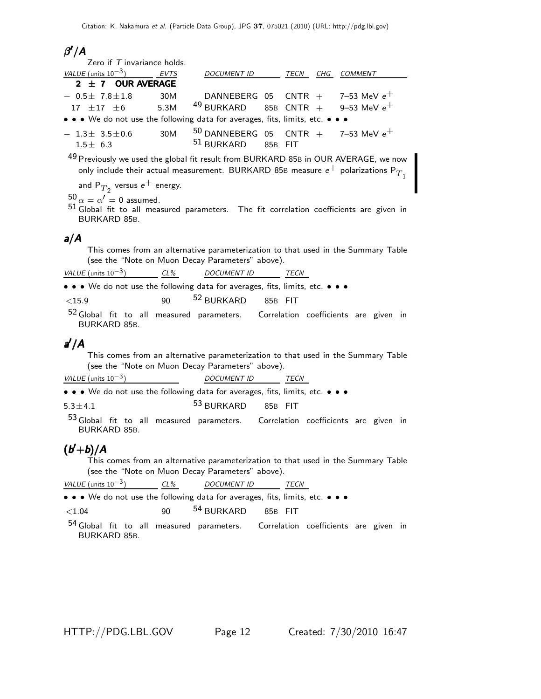# β /*A*

| Zero if $T$ invariance holds.                                                 |     |                                         |  |  |
|-------------------------------------------------------------------------------|-----|-----------------------------------------|--|--|
| VALUE (units $10^{-3}$ ) EVTS                                                 |     | DOCUMENT ID TECN CHG COMMENT            |  |  |
| $2 \pm 7$ OUR AVERAGE                                                         |     |                                         |  |  |
| $-$ 0.5 $\pm$ 7.8 $\pm$ 1.8 30M                                               |     | DANNEBERG 05 CNTR $+$ 7-53 MeV $e^+$    |  |  |
| $17\ \pm 17\ \pm 6$ 5.3M $^{49}$ BURKARD 85B CNTR $+$ 9–53 MeV $e^+$          |     |                                         |  |  |
| • • • We do not use the following data for averages, fits, limits, etc. • • • |     |                                         |  |  |
| $-1.3\pm 3.5\pm 0.6$                                                          | 30M | $50$ DANNEBERG 05 CNTR + 7-53 MeV $e^+$ |  |  |
| $1.5 \pm 6.3$                                                                 |     | $51$ BURKARD 85B FIT                    |  |  |
|                                                                               |     |                                         |  |  |

Previously we used the global fit result from BURKARD 85B in OUR AVERAGE, we now only include their actual measurement. BURKARD 85B measure  $e^+$  polarizations  $P_{T_1}$ 

and  $\mathsf{P}_{T_2}$  versus  $\mathsf{e}^+$  energy.

 $50 \alpha = \alpha' = 0$  assumed.

51 Global fit to all measured parameters. The fit correlation coefficients are given in BURKARD 85B.

## *a*/*A*

This comes from an alternative parameterization to that used in the Summary Table (see the "Note on Muon Decay Parameters" above).

| VALUE (units $10^{-3}$ )                                                                                              | $CL\%$ | <i>DOCUMENT ID</i> | TECN |  |  |
|-----------------------------------------------------------------------------------------------------------------------|--------|--------------------|------|--|--|
| $\bullet \bullet \bullet$ We do not use the following data for averages, fits, limits, etc. $\bullet \bullet \bullet$ |        |                    |      |  |  |

| ${<}15.9$ | 90 | <sup>52</sup> BURKARD | 85B FIT |  |
|-----------|----|-----------------------|---------|--|
|           |    |                       |         |  |

 $52$  Global fit to all measured parameters. Correlation coefficients are given in BURKARD 85B.

# *a* /*A* /

This comes from an alternative parameterization to that used in the Summary Table (see the "Note on Muon Decay Parameters" above).

| VALUE (units | $10^{-}$<br>ັ |  | <i>DOCUMENT ID</i> | ECN |  |
|--------------|---------------|--|--------------------|-----|--|
|              |               |  |                    |     |  |

• • • We do not use the following data for averages, fits, limits, etc. • • •

 $5.3 \pm 4.1$   $5.3 \pm 4.1$   $5.3 \pm 4.1$   $5.3 \pm 4.1$ 

53 Global fit to all measured parameters. Correlation coefficients are given in BURKARD 85B.

# (*b* <sup>+</sup>*b*)/*A* ( +)/ <sup>+</sup>*b*)/*A*

This comes from an alternative parameterization to that used in the Summary Table (see the "Note on Muon Decay Parameters" above).

| $VALUE$ (units $10^{-3}$<br>ັບ 1 |  | <b>DOCUMENT ID</b> |  |
|----------------------------------|--|--------------------|--|
|                                  |  |                    |  |

• •• We do not use the following data for averages, fits, limits, etc. • • •

| 85B FIT | ${<}1.04$ | 90 | <sup>54</sup> BURKARD |  |  |
|---------|-----------|----|-----------------------|--|--|
|---------|-----------|----|-----------------------|--|--|

54 Global fit to all measured parameters. Correlation coefficients are given in BURKARD 85B.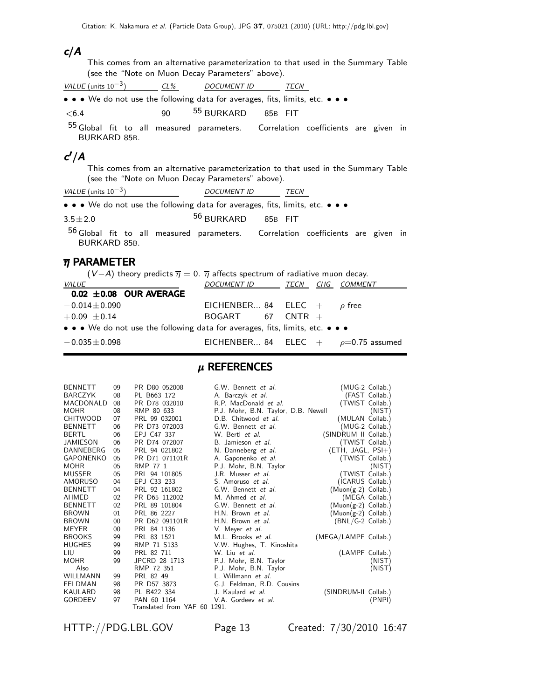#### *c*/*A*

This comes from an alternative parameterization to that used in the Summary Table (see the "Note on Muon Decay Parameters" above).

|       | VALUE (units $10^{-3}$ )                                                                                              | $CL\%$ |                       | <i>DOCUMENT ID</i> |         | <b>TFCN</b> |  |  |
|-------|-----------------------------------------------------------------------------------------------------------------------|--------|-----------------------|--------------------|---------|-------------|--|--|
|       | $\bullet \bullet \bullet$ We do not use the following data for averages, fits, limits, etc. $\bullet \bullet \bullet$ |        |                       |                    |         |             |  |  |
| < 6.4 |                                                                                                                       | 90.    | <sup>55</sup> BURKARD |                    | 85B FIT |             |  |  |

55 Global fit to all measured parameters. Correlation coefficients are given in BURKARD 85B.

# *c* /*A c*

This comes from an alternative parameterization to that used in the Summary Table (see the "Note on Muon Decay Parameters" above).

| VALUE (units $10^{-3}$ ) |  |  |  |       | DOCUMENT ID |  |  |  |  |
|--------------------------|--|--|--|-------|-------------|--|--|--|--|
| .                        |  |  |  | - - - |             |  |  |  |  |

• • We do not use the following data for averages, fits, limits, etc. • • •

 $3.5 \pm 2.0$  56 BURKARD 85B FIT

56 Global fit to all measured parameters. Correlation coefficients are given in BURKARD 85B.

### $\overline{\eta}$  PARAMETER

| $(V-A)$ theory predicts $\overline{\eta} = 0$ . $\overline{\eta}$ affects spectrum of radiative muon decay. |                                            |  |
|-------------------------------------------------------------------------------------------------------------|--------------------------------------------|--|
| <i>VALUE</i>                                                                                                | DOCUMENT ID TECN CHG COMMENT               |  |
| $0.02 \pm 0.08$ OUR AVERAGE                                                                                 |                                            |  |
| $-0.014 \pm 0.090$                                                                                          | EICHENBER 84 ELEC $+$ $\rho$ free          |  |
| $+0.09 \pm 0.14$                                                                                            | $BOGART$ 67 CNTR $+$                       |  |
| • • • We do not use the following data for averages, fits, limits, etc. • • •                               |                                            |  |
| $-0.035 \pm 0.098$                                                                                          | EICHENBER 84 ELEC $+$ $\rho$ =0.75 assumed |  |

## $\mu$  REFERENCES

| <b>BENNETT</b>   | 09 | PR D80 052008                | G.W. Bennett et al.                 | (MUG-2 Collab.)       |
|------------------|----|------------------------------|-------------------------------------|-----------------------|
| <b>BARCZYK</b>   | 08 | PL B663 172                  | A. Barczyk et al.                   | (FAST Collab.)        |
| MACDONALD        | 08 | PR D78 032010                | R.P. MacDonald et al.               | (TWIST Collab.)       |
| <b>MOHR</b>      | 08 | RMP 80 633                   | P.J. Mohr, B.N. Taylor, D.B. Newell | (NIST)                |
| <b>CHITWOOD</b>  | 07 | PRL 99 032001                | D.B. Chitwood et al.                | (MULAN Collab.)       |
| <b>BENNETT</b>   | 06 | PR D73 072003                | G.W. Bennett et al.                 | (MUG-2 Collab.)       |
| <b>BERTL</b>     | 06 | EPJ C47 337                  | W. Bertl et al.                     | (SINDRUM II Collab.)  |
| <b>JAMIESON</b>  | 06 | PR D74 072007                | B. Jamieson et al.                  | (TWIST Collab.)       |
| DANNEBERG        | 05 | PRL 94 021802                | N. Danneberg et al.                 | $(ETH, JAGL, PSI+)$   |
| <b>GAPONENKO</b> | 05 | PR D71 071101R               | A. Gaponenko et al.                 | (TWIST Collab.)       |
| <b>MOHR</b>      | 05 | RMP 77 1                     | P.J. Mohr, B.N. Taylor              | (NIST)                |
| <b>MUSSER</b>    | 05 | PRL 94 101805                | J.R. Musser <i>et al.</i>           | (TWIST Collab.)       |
| AMORUSO          | 04 | EPJ C33 233                  | S. Amoruso et al.                   | (ICARUS Collab.)      |
| <b>BENNETT</b>   | 04 | PRL 92 161802                | G.W. Bennett et al.                 | $(Muon(g-2)$ Collab.) |
| AHMED            | 02 | PR D65 112002                | M. Ahmed et al.                     | (MEGA Collab.)        |
| <b>BENNETT</b>   | 02 | PRL 89 101804                | G.W. Bennett et al.                 | $(Muon(g-2)$ Collab.) |
| <b>BROWN</b>     | 01 | PRL 86 2227                  | H.N. Brown et al.                   | $(Muon(g-2)$ Collab.) |
| <b>BROWN</b>     | 00 | PR D62 091101R               | H.N. Brown et al.                   | (BNL/G-2 Collab.)     |
| <b>MEYER</b>     | 00 | PRL 84 1136                  | V. Meyer et al.                     |                       |
| <b>BROOKS</b>    | 99 | PRL 83 1521                  | M.L. Brooks et al.                  | (MEGA/LAMPF Collab.)  |
| <b>HUGHES</b>    | 99 | RMP 71 S133                  | V.W. Hughes, T. Kinoshita           |                       |
| LIU              | 99 | PRL 82 711                   | W. Liu et al.                       | (LAMPF Collab.)       |
| <b>MOHR</b>      | 99 | JPCRD 28 1713                | P.J. Mohr, B.N. Taylor              | (NIST)                |
| Also             |    | RMP 72 351                   | P.J. Mohr, B.N. Taylor              | (NIST)                |
| WILLMANN         | 99 | PRL 82 49                    | L. Willmann et al.                  |                       |
| <b>FELDMAN</b>   | 98 | PR D57 3873                  | G.J. Feldman, R.D. Cousins          |                       |
| <b>KAULARD</b>   | 98 | PL B422 334                  | J. Kaulard <i>et al.</i>            | (SINDRUM-II Collab.)  |
| <b>GORDEEV</b>   | 97 | PAN 60 1164                  | V.A. Gordeev et al.                 | (PNPI)                |
|                  |    | Translated from YAF 60 1291. |                                     |                       |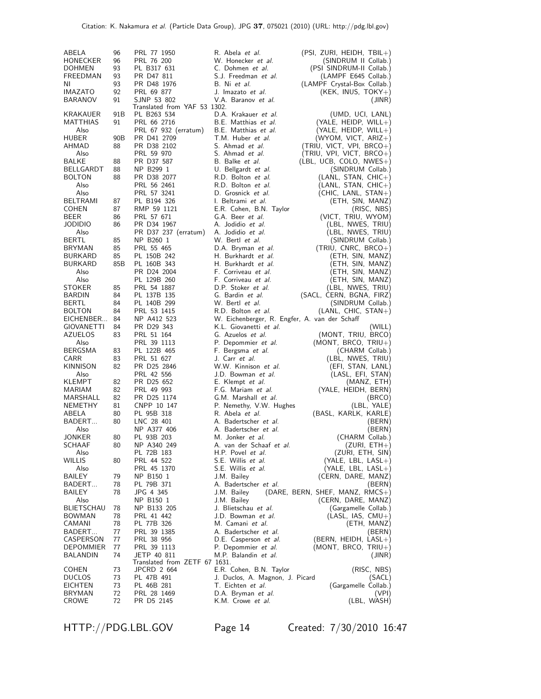| ABELA<br>HONECKER<br>DOHMEN<br>FREEDMAN<br>ΝI<br>IMAZATO<br><b>BARANOV</b> | 96<br>96<br>93<br>93<br>93<br>92<br>91 | PRL 77 1950<br>PRL 76 200<br>PL B317 631<br>PR D47 811<br>PR D48 1976<br>PRL 69 877<br>SJNP 53 802 | R. Abela <i>et al.</i><br>W. Honecker et al.<br>C. Dohmen et al.<br>S.J. Freedman et al.<br>B. Ni et al.<br>J. Imazato <i>et al</i> .<br>V.A. Baranov et al. | (PSI, ZURI, HEIDH, TBIL+)<br>(SINDRUM II Collab.)<br>(PSI SINDRUM-II Collab.)<br>(LAMPF E645 Collab.)<br>(LAMPF Crystal-Box Collab.)<br>$(KEK, INUS, TOKY+)$<br>(JINR) |
|----------------------------------------------------------------------------|----------------------------------------|----------------------------------------------------------------------------------------------------|--------------------------------------------------------------------------------------------------------------------------------------------------------------|------------------------------------------------------------------------------------------------------------------------------------------------------------------------|
| KRAKAUER<br>MATTHIAS<br>Also<br>HUBER                                      | 91B<br>91<br>90B                       | Translated from YAF 53 1302.<br>PL B263 534<br>PRL 66 2716<br>PRL 67 932 (erratum)<br>PR D41 2709  | D.A. Krakauer et al.<br>B.E. Matthias et al.<br>B.E. Matthias et al.<br>T.M. Huber et al.                                                                    | (UMD, UCI, LANL)<br>$(YALE, HEIDP, WILL+)$<br>$(YALE, HEIDP, WILL+)$<br>$(WYOM, VICT, ARIZ+)$                                                                          |
| AHMAD<br>Also                                                              | 88                                     | PR D38 2102<br>PRL 59 970                                                                          | S. Ahmad et al.<br>S. Ahmad et al.                                                                                                                           | (TRIU, VICT, VPI, BRCO+)<br>(TRIU, VPI, VICT, BRCO+)                                                                                                                   |
| BALKE<br>BELLGARDT<br><b>BOLTON</b><br>Also                                | 88<br>88<br>88                         | PR D37 587<br>NP B299 1<br>PR D38 2077<br>PRL 56 2461                                              | B. Balke et al.<br>U. Bellgardt et al.<br>R.D. Bolton et al.<br>R.D. Bolton et al.                                                                           | (LBL, UCB, COLO, NWES+)<br>(SINDRUM Collab.)<br>$(LANL, STAN, CHIC+)$<br>$(LANL, STAN, CHIC+)$                                                                         |
| Also<br><b>BELTRAMI</b>                                                    | 87                                     | PRL 57 3241<br>PL B194 326                                                                         | D. Grosnick et al.<br>I. Beltrami <i>et al</i> .                                                                                                             | (CHIC, LANL, STAN+)<br>(ETH, SIN, MANZ)                                                                                                                                |
| <b>COHEN</b><br>BEER<br>JODIDIO                                            | 87<br>86<br>86                         | RMP 59 1121<br>PRL 57 671<br>PR D34 1967                                                           | E.R. Cohen, B.N. Taylor<br>G.A. Beer et al.<br>A. Jodidio et al.                                                                                             | (RISC, NBS)<br>(VICT, TRIU, WYOM)<br>(LBL, NWES, TRIU)                                                                                                                 |
| Also<br>BERTL<br><b>BRYMAN</b>                                             | 85<br>85                               | PR D37 237 (erratum)<br>NP B260 1<br>PRL 55 465                                                    | A. Jodidio et al.<br>W. Bertl <i>et al.</i><br>D.A. Bryman et al.                                                                                            | (LBL, NWES, TRIU)<br>(SINDRUM Collab.)<br>$(TRIU, CNRC, BRCO+)$                                                                                                        |
| BURKARD<br>BURKARD<br>Also                                                 | 85<br>85B                              | PL 150B 242<br>PL 160B 343<br>PR D24 2004                                                          | H. Burkhardt et al.<br>H. Burkhardt et al.<br>F. Corriveau et al.                                                                                            | (ETH, SIN, MANZ)<br>(ETH, SIN, MANZ)<br>(ETH, SIN, MANZ)                                                                                                               |
| Also<br>STOKER<br><b>BARDIN</b>                                            | 85<br>84                               | PL 129B 260<br>PRL 54 1887<br>PL 137B 135                                                          | F. Corriveau et al.<br>D.P. Stoker et al.<br>G. Bardin et al.                                                                                                | (ETH, SIN, MANZ)<br>(LBL, NWES, TRIU)<br>(SACL, CERN, BGNA, FIRZ)                                                                                                      |
| BERTL<br><b>BOLTON</b><br>EICHENBER                                        | 84<br>84<br>84                         | PL 140B 299<br>PRL 53 1415<br>NP A412 523                                                          | W. Bertl <i>et al.</i><br>R.D. Bolton et al.<br>W. Eichenberger, R. Engfer, A. van der Schaff                                                                | (SINDRUM Collab.)<br>$(LANL, CHIC, STAN+)$                                                                                                                             |
| GIOVANETTI<br><b>AZUELOS</b><br>Also                                       | 84<br>83                               | PR D29 343<br>PRL 51 164<br>PRL 39 1113                                                            | K.L. Giovanetti et al.<br>G. Azuelos et al.<br>P. Depommier et al.                                                                                           | (WILL)<br>(MONT, TRIU, BRCO)<br>$(MONT, BRCO, TRIU+)$                                                                                                                  |
| <b>BERGSMA</b><br>CARR<br>KINNISON                                         | 83<br>83<br>82                         | PL 122B 465<br>PRL 51 627<br>PR D25 2846                                                           | F. Bergsma et al.<br>J. Carr et al.<br>W.W. Kinnison et al.                                                                                                  | (CHARM Collab.)<br>(LBL, NWES, TRIU)<br>(EFI, STAN, LANL)                                                                                                              |
| Also<br>KLEMPT<br><b>MARIAM</b>                                            | 82<br>82                               | PRL 42 556<br>PR D25 652<br>PRL 49 993                                                             | J.D. Bowman et al.<br>E. Klempt <i>et al.</i><br>F.G. Mariam et al.                                                                                          | (LASL, EFI, STAN)<br>(MANZ, ETH)<br>(YALE, HEIDH, BERN)                                                                                                                |
| MARSHALL<br><b>NEMETHY</b><br>ABELA                                        | 82<br>81<br>80                         | PR D25 1174<br>CNPP 10 147<br>PL 95B 318                                                           | G.M. Marshall et al.<br>P. Nemethy, V.W. Hughes<br>R. Abela et al.                                                                                           | (BRCO)<br>(LBL, YALE)<br>(BASL, KARLK, KARLE)                                                                                                                          |
| BADERT<br>Also<br>JONKER                                                   | 80<br>80                               | LNC 28 401<br>NP A377 406<br>PL 93B 203                                                            | A. Badertscher et al.<br>A. Badertscher <i>et al.</i><br>M. Jonker et al.                                                                                    | (BERN)<br>(BERN)<br>(CHARM Collab.)                                                                                                                                    |
| SCHAAF<br>Also<br>WILLIS                                                   | 80<br>80                               | NP A340 249<br>PL 72B 183<br>PRL 44 522                                                            | A. van der Schaaf et al.<br>H.P. Povel et al.<br>S.E. Willis et al.                                                                                          | $(ZURI, ETH+)$<br>(ZURI, ETH, SIN)<br>$(YALE, LBL, LASL+)$                                                                                                             |
| Also<br>BAILEY<br>BADERT                                                   | 79<br>78                               | PRL 45 1370<br>NP B150 1<br>PL 79B 371                                                             | S.E. Willis et al.<br>J.M. Bailey<br>A. Badertscher et al.                                                                                                   | $(YALE, LBL, LASL+)$<br>(CERN, DARE, MANZ)<br>(BERN)                                                                                                                   |
| BAILEY<br>Also<br>BLIETSCHAU                                               | 78<br>78                               | JPG 4 345<br>NP B150 1<br>NP B133 205                                                              | J.M. Bailey<br>J.M. Bailey<br>J. Blietschau et al.                                                                                                           | $(DARE, BERN, SHEF, MANZ, RMCS+)$<br>(CERN, DARE, MANZ)<br>(Gargamelle Collab.)                                                                                        |
| BOWMAN<br>CAMANI<br>BADERT                                                 | 78<br>78<br>77                         | PRL 41 442<br>PL 77B 326<br>PRL 39 1385                                                            | J.D. Bowman et al.<br>M. Camani et al.<br>A. Badertscher et al.                                                                                              | $(LASL, IAS, CMU+)$<br>(ETH, MANZ)<br>(BERN)                                                                                                                           |
| CASPERSON<br>DEPOMMIER<br>BALANDIN                                         | 77<br>77<br>74                         | PRL 38 956<br>PRL 39 1113<br>JETP 40 811                                                           | D.E. Casperson et al.<br>P. Depommier et al.<br>M.P. Balandin et al.                                                                                         | $(BERN, HEIDH, LASL+)$<br>(MONT, BRCO, TRIU+)<br>(JINR)                                                                                                                |
| COHEN<br><b>DUCLOS</b>                                                     | 73<br>73                               | Translated from ZETF 67 1631.<br>JPCRD 2 664<br>PL 47B 491                                         | E.R. Cohen, B.N. Taylor<br>J. Duclos, A. Magnon, J. Picard                                                                                                   | (RISC, NBS)<br>(SACL)                                                                                                                                                  |
| EICHTEN<br>BRYMAN<br>CROWE                                                 | 73<br>72<br>72                         | PL 46B 281<br>PRL 28 1469<br>PR D5 2145                                                            | T. Eichten et al.<br>D.A. Bryman et al.<br>K.M. Crowe et al.                                                                                                 | (Gargamelle Collab.)<br>(VPI)<br>(LBL, WASH)                                                                                                                           |

HTTP://PDG.LBL.GOV Page 14 Created: 7/30/2010 16:47